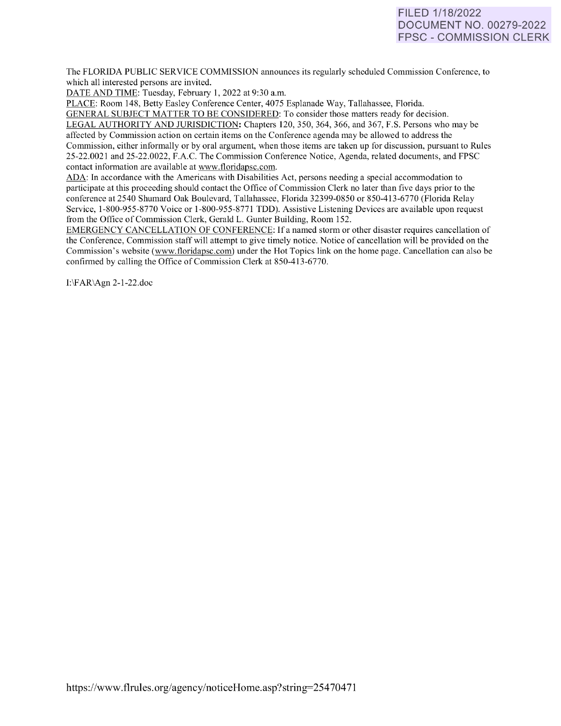# FILED 1/18/2022 DOCUMENT NO. 00279-2022 FPSC - COMMISSION CLERK

The FLORIDA PUBLIC SERVICE COMMISSION announces its regularly scheduled Commission Conference, to which all interested persons are invited.

DATE AND TIME: Tuesday, February 1, 2022 at 9:30 a.m.

PLACE: Room 148, Betty Easley Conference Center, 4075 Esplanade Way, Tallahassee, Florida.

GENERAL SUBJECT MATTER TO BE CONSIDERED: To consider those matters ready for decision. LEGAL AUTHORITY AND JURISDICTION: Chapters 120, 350, 364, 366, and 367, F.S. Persons who may be affected by Commission action on certain items on the Conference agenda may be allowed to address the Commission, either informally or by oral argument, when those items are taken up for discussion, pursuant to Rules 25-22.0021 and 25-22.0022, F.A.C. The Commission Conference Notice, Agenda, related documents, and FPSC contact information are available at [www.floridapsc.com.](http://www.floridapsc.com/) 

ADA: In accordance with the Americans with Disabilities Act, persons needing a special accommodation to participate at this proceeding should contact the Office of Commission Clerk no later than five days prior to the conference at 2540 Shumard Oak Boulevard, Tallahassee, Florida 32399-0850 or 850-41 3-6770 (Florida Relay Service, 1-800-955-8770 Voice or 1-800-955-8771 TDD). Assistive Listening Devices are available upon request from the Office of Commission Clerk, Gerald L. Gunter Building, Room 152.

EMERGENCY CANCELLATION OF CONFERENCE: If a named storm or other disaster requires cancellation of the Conference, Commission staff will attempt to give timely notice. Notice of cancellation will be provided on the Commission's website [\(www.floridapsc.com\)](http://www.floridapsc.com/) under the Hot Topics link on the home page. Cancellation can also be confirmed by calling the Office of Commission Clerk at 850-413-6770.

1:\FAR\Agn 2-1-22.doc